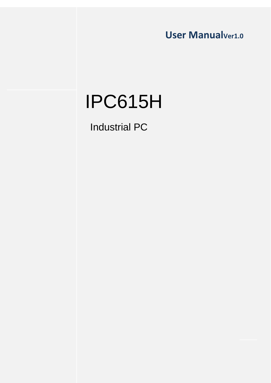User Manual<sub>Ver1.0</sub>

# IPC615H

Industrial PC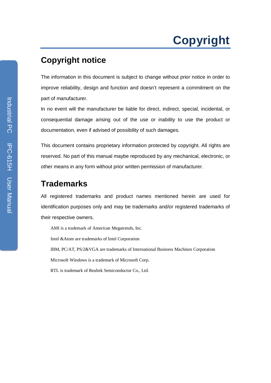# **Copyright**

## **Copyright notice**

The information in this document is subject to change without prior notice in order to improve reliability, design and function and doesn't represent a commitment on the part of manufacturer.

In no event will the manufacturer be liable for direct, indirect, special, incidental, or consequential damage arising out of the use or inability to use the product or documentation, even if advised of possibility of such damages.

This document contains proprietary information protected by copyright. All rights are reserved. No part of this manual maybe reproduced by any mechanical, electronic, or other means in any form without prior written permission of manufacturer.

## **Trademarks**

All registered trademarks and product names mentioned herein are used for identification purposes only and may be trademarks and/or registered trademarks of their respective owners.

AMI is a trademark of American Megatrends, Inc.

Intel &Atom are trademarks of Intel Corporation

IBM, PC/AT, PS/2&VGA are trademarks of International Business Machines Corporation

Microsoft Windows is a trademark of Microsoft Corp.

RTL is trademark of Realtek Semiconductor Co., Ltd.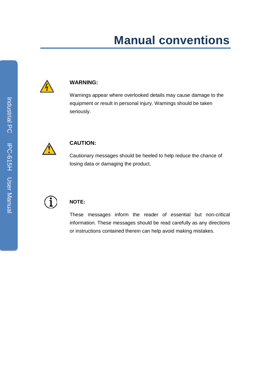# **Manual conventions**



#### **WARNING:**

Warnings appear where overlooked details may cause damage to the equipment or result in personal injury. Warnings should be taken seriously.



#### **CAUTION:**

Cautionary messages should be heeled to help reduce the chance of losing data or damaging the product.



#### **NOTE:**

These messages inform the reader of essential but non-critical information. These messages should be read carefully as any directions or instructions contained therein can help avoid making mistakes.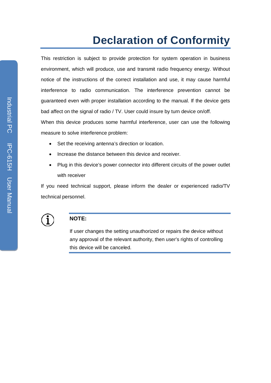# **Declaration of Conformity**

This restriction is subject to provide protection for system operation in business environment, which will produce, use and transmit radio frequency energy. Without notice of the instructions of the correct installation and use, it may cause harmful interference to radio communication. The interference prevention cannot be guaranteed even with proper installation according to the manual. If the device gets bad affect on the signal of radio / TV. User could insure by turn device on/off.

When this device produces some harmful interference, user can use the following measure to solve interference problem:

- Set the receiving antenna's direction or location.
- Increase the distance between this device and receiver.
- Plug in this device's power connector into different circuits of the power outlet with receiver

If you need technical support, please inform the dealer or experienced radio/TV technical personnel.



#### **NOTE:**

If user changes the setting unauthorized or repairs the device without any approval of the relevant authority, then user's rights of controlling this device will be canceled.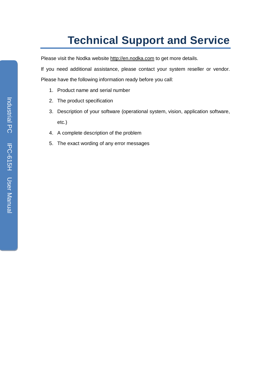# **Technical Support and Service**

Please visit the Nodka website http://en.nodka.com to get more details.

If you need additional assistance, please contact your system reseller or vendor. Please have the following information ready before you call:

- 1. Product name and serial number
- 2. The product specification
- 3. Description of your software (operational system, vision, application software, etc.)
- 4. A complete description of the problem
- 5. The exact wording of any error messages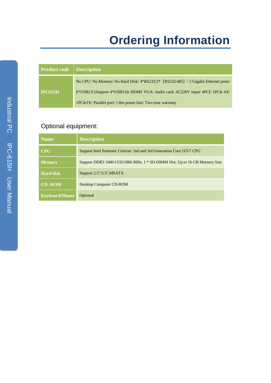# **Ordering Information**

| <b>Product code</b> | <b>Description</b>                                                                |
|---------------------|-----------------------------------------------------------------------------------|
|                     | No CPU/No Memory/No Hard Disk/4*RS232/2* (RS232/485) / 2 Gigabit Ethernet ports/  |
| <b>IPC615H</b>      | 6*USB2.0 (Support 4*USB3.0)/ HDMI/ VGA/ Audio card/ AC220V input/ 4PCI/ 1PCIe 4X/ |
|                     | $1PCIe1X/$ Parallel port/ 1.8m power line/ Two-year warranty                      |

## Optional equipment:

| <b>Name</b>           | <b>Description</b>                                                         |
|-----------------------|----------------------------------------------------------------------------|
| <b>CPU</b>            | Support Intel Pentium/ Celeron/ 2nd and 3rd Generation Core i3/5/7 CPU     |
| <b>Memory</b>         | Support DDR3 1600/1333/1066 MHz, 1 * SO-DIMM Slot, Up to 16 GB Memory Size |
| <b>Hard disk</b>      | Support $2.5$ "/ $3.5$ ", MSATA                                            |
| $[CD-ROM]$            | <b>Desktop Computer CD-ROM</b>                                             |
| <b>Keyboard/Mouse</b> | Optional                                                                   |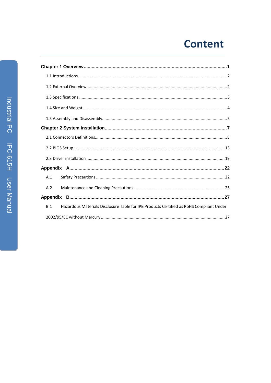# **Content**

| A.1                                                                                            |
|------------------------------------------------------------------------------------------------|
| A.2                                                                                            |
|                                                                                                |
| Hazardous Materials Disclosure Table for IPB Products Certified as RoHS Compliant Under<br>B.1 |
|                                                                                                |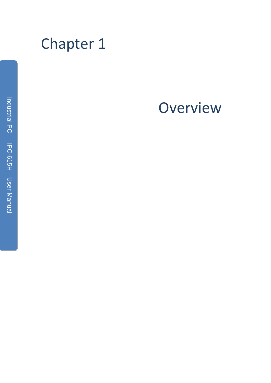<span id="page-7-0"></span>

# **Overview**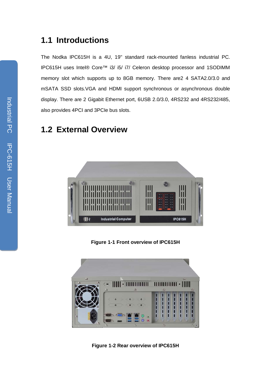## <span id="page-8-0"></span>**1.1 Introductions**

The Nodka IPC615H is a 4U, 19" standard rack-mounted fanless industrial PC. IPC615H uses Intel® Core™ i3/ i5/ i7/ Celeron desktop processor and 1SODIMM memory slot which supports up to 8GB memory. There are2 4 SATA2.0/3.0 and mSATA SSD slots.VGA and HDMI support synchronous or asynchronous double display. There are 2 Gigabit Ethernet port, 6USB 2.0/3.0, 4RS232 and 4RS232/485, also provides 4PCI and 3PCIe bus slots.

## <span id="page-8-1"></span>**1.2 External Overview**



**Figure 1-1 Front overview of IPC615H**



**Figure 1-2 Rear overview of IPC615H**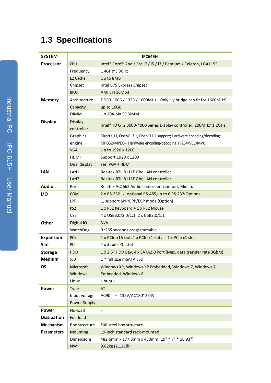# <span id="page-9-0"></span>**1.3 Specifications**

| <b>SYSTEM</b>      |                              | <b>IPC645H</b>                                                        |
|--------------------|------------------------------|-----------------------------------------------------------------------|
| <b>Processor</b>   | <b>CPU</b>                   | Intel® Core™ 2nd / 3rd i7 / i5 / i3 / Pentium / Celeron, LGA1155      |
|                    | Frequency                    | 1.4GHz~3.3GHz                                                         |
|                    | L <sub>2</sub> Cache         | Up to 8MB                                                             |
|                    | Chipset                      | Intel B75 Express Chipset                                             |
|                    | <b>BIOS</b>                  | AMI EFI 16Mbit                                                        |
| <b>Memory</b>      | Architecture                 | DDR3-1066 / 1333 / 1600MHz (Only Ivy bridge can fit for 1600MHz)      |
|                    | Capacity                     | up to 16GB                                                            |
|                    | <b>DIMM</b>                  | 1 x 204-pin SODIMM                                                    |
| <b>Display</b>     | <b>Display</b><br>controller | Intel®HD GT2 3000/4000 Series Display controller, 200MHz~1.2GHz       |
|                    | Graphics                     | DirectX 11, OpenGL3.1, OpenCL1.1 support; Hardware encoding/decoding: |
|                    | engine                       | MPEG2/MPEG4; Hardware encoding/decoding: H.264/VC1/MVC                |
|                    | <b>VGA</b>                   | Up to 1920 x 1200                                                     |
|                    | <b>HDMI</b>                  | Support 1920 x 1200                                                   |
|                    | Dual display                 | Yes, VGA + HDMI                                                       |
| <b>LAN</b>         | LAN1                         | Realtek RTL-8111F Gbe LAN controller                                  |
|                    | LAN <sub>2</sub>             | Realtek RTL-8111F Gbe LAN controller                                  |
| <b>Audio</b>       | Port                         | Realtek ACL662 Audio controller, Line-out, Mic-in.                    |
| I/O                | <b>COM</b>                   | 2 x RS-232 , optional RS-485, up to 6 RS-232 (Option)                 |
|                    | <b>LPT</b>                   | 1, support SPP/EPP/ECP mode (Option)                                  |
|                    | PS <sub>2</sub>              | 1 x PS2 Keyboard + 1 x PS2 Mouse                                      |
|                    | <b>USB</b>                   | 4 x USB3.0/2.0/1.1, 2 x USB2.0/1.1                                    |
| Other              | Digital IO                   | N/A                                                                   |
|                    | WatchDog                     | 0~255 seconds programmable                                            |
| <b>Expansion</b>   | PCIe                         | 1 x PCIe x16 slot, 1 x PCIe x4 slot,<br>1 x PCIe x1 slot              |
| Slot               | PCI                          | 4 x 32 bits PCI slot                                                  |
| <b>Storage</b>     | <b>HDD</b>                   | 1 x 2.5" HDD Bay, 4 x SATA2.0 Port (Max. data transfer rate 3Gb/s)    |
| <b>Medium</b>      | SSD                          | 1 * full size mSATA SSD                                               |
| <b>OS</b>          | Microsoft                    | Windows XP, Windows XP Embedded, Windows 7, Windows 7                 |
|                    | <b>Windows</b>               | <b>Embedded, Windows 8</b>                                            |
|                    | Linux                        | Ubuntu                                                                |
| <b>Power</b>       | <b>Type</b>                  | AT                                                                    |
|                    | Input voltage                | AC90 $\sim$ 132V/AC180~264V                                           |
|                    | <b>Power Supply</b>          | $\overline{\phantom{a}}$                                              |
| <b>Power</b>       | No-load                      | $\overline{\phantom{0}}$                                              |
| <b>Dissipation</b> | Full-load                    | $\qquad \qquad \blacksquare$                                          |
| Mechanism          | Box structure                | Full steel box structure                                              |
| <b>Parameters</b>  | Mounting                     | 19-inch standard rack-mounted                                         |
|                    | <b>Dimensions</b>            | 482.6mm x 177.8mm x 430mm (19" * 7" * 16.93")                         |
|                    | <b>NW</b>                    | 9.62kg (21.21lb)                                                      |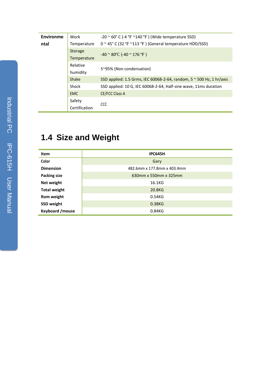| Environme | Work          | $-20$ $\sim$ 60° C (-4 °F $\sim$ 140 °F) (Wide temperature SSD)              |  |  |  |
|-----------|---------------|------------------------------------------------------------------------------|--|--|--|
| ntal      | Temperature   | $0 \sim 45^{\circ}$ C (32 °F $\sim$ 113 °F) (General temperature HDD/SSD)    |  |  |  |
|           | Storage       | $-40$ $\sim$ 80°C (-40 $\sim$ 176 °F)                                        |  |  |  |
|           | Temperature   |                                                                              |  |  |  |
|           | Relative      | 5~95% (Non condensation)                                                     |  |  |  |
|           | humidity      |                                                                              |  |  |  |
|           | Shake         | SSD applied: 1.5 Grms, IEC 60068-2-64, random, $5 \approx 500$ Hz, 1 hr/axis |  |  |  |
|           | Shock         | SSD applied: 10 G, IEC 60068-2-64, Half-sine wave, 11ms duration             |  |  |  |
|           | <b>EMC</b>    | <b>CE/FCC Class A</b>                                                        |  |  |  |
|           | Safety        | <b>CCC</b>                                                                   |  |  |  |
|           | Certification |                                                                              |  |  |  |
|           |               |                                                                              |  |  |  |

## <span id="page-10-0"></span>**1.4 Size and Weight**

| Item                | <b>IPC645H</b>              |
|---------------------|-----------------------------|
| Color               | Gary                        |
| <b>Dimension</b>    | 482.6mm x 177.8mm x 403.4mm |
| <b>Packing size</b> | 630mm x 550mm x 325mm       |
| Net weight          | 16.1KG                      |
| <b>Total weight</b> | 20.8KG                      |
| Rom weight          | 0.54KG                      |
| <b>SSD weight</b>   | 0.38KG                      |
| Keyboard / mouse    | 0.84KG                      |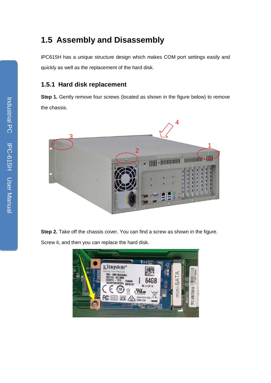## <span id="page-11-0"></span>**1.5 Assembly and Disassembly**

IPC615H has a unique structure design which makes COM port settings easily and quickly as well as the replacement of the hard disk.

#### **1.5.1 Hard disk replacement**

**Step 1.** Gently remove four screws (located as shown in the figure below) to remove the chassis.



**Step 2.** Take off the chassis cover. You can find a screw as shown in the figure. Screw it, and then you can replace the hard disk.

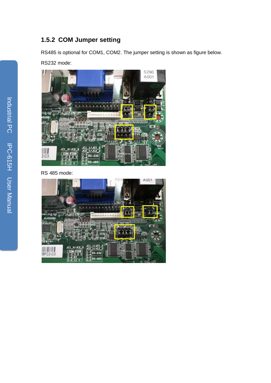## **1.5.2 COM Jumper setting**

RS485 is optional for COM1, COM2. The jumper setting is shown as figure below.

RS232 mode:



RS 485 mode:

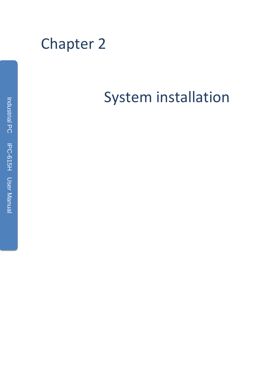<span id="page-13-0"></span>

# System installation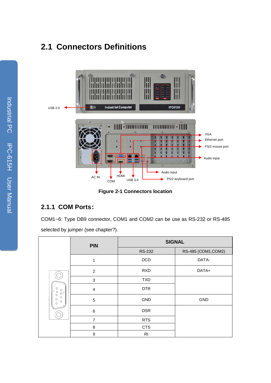## <span id="page-14-0"></span>**2.1 Connectors Definitions**



**Figure 2-1 Connectors location**

## **2.1.1 COM Ports:**

COM1~6: Type DB9 connector, COM1 and COM2 can be use as RS-232 or RS-485 selected by jumper (see chapter?).

|                                                                                                     | <b>PIN</b>     | <b>SIGNAL</b>  |                     |  |
|-----------------------------------------------------------------------------------------------------|----------------|----------------|---------------------|--|
|                                                                                                     |                | <b>RS-232</b>  | RS-485 (COM1, COM2) |  |
|                                                                                                     | 1              | <b>DCD</b>     | DATA-               |  |
| $\circ$<br>$\circ$<br>5<br>$_{\circ}^{\circ}$<br>$\circ$ $^9$<br>$\circ$<br>$\circ$<br>$\circ$<br>O | $\overline{2}$ | <b>RXD</b>     | DATA+               |  |
|                                                                                                     | $\mathbf{3}$   | <b>TXD</b>     |                     |  |
|                                                                                                     | $\overline{4}$ | <b>DTR</b>     |                     |  |
|                                                                                                     | $\sqrt{5}$     | GND            | <b>GND</b>          |  |
|                                                                                                     | $\,6$          | <b>DSR</b>     |                     |  |
|                                                                                                     | $\overline{7}$ | <b>RTS</b>     |                     |  |
|                                                                                                     | 8              | <b>CTS</b>     |                     |  |
|                                                                                                     | 9              | R <sub>l</sub> |                     |  |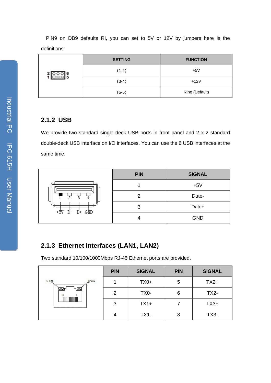PIN9 on DB9 defaults RI, you can set to 5V or 12V by jumpers here is the definitions:

|  | <b>SETTING</b> | <b>FUNCTION</b> |
|--|----------------|-----------------|
|  | $(1-2)$        | $+5V$           |
|  | $(3-4)$        | $+12V$          |
|  | $(5-6)$        | Ring (Default)  |

#### **2.1.2 USB**

We provide two standard single deck USB ports in front panel and 2 x 2 standard double-deck USB interface on I/O interfaces. You can use the 6 USB interfaces at the same time.

|                 | <b>PIN</b> | <b>SIGNAL</b> |
|-----------------|------------|---------------|
|                 |            | $+5V$         |
| 3               | 2          | Date-         |
| $+5V$ D- D+ GND | 3          | Date+         |
|                 |            | <b>GND</b>    |

## **2.1.3 Ethernet interfaces (LAN1, LAN2)**

Two standard 10/100/1000Mbps RJ-45 Ethernet ports are provided.

|                      | <b>PIN</b>     | <b>SIGNAL</b> | <b>PIN</b> | <b>SIGNAL</b> |
|----------------------|----------------|---------------|------------|---------------|
| $R-LLD$<br>$1 - 12D$ |                | $TX0+$        | 5          | $TX2+$        |
| ב⊠י                  | 2              | TX0-          | 6          | $TX2-$        |
|                      | 3              | $TX1+$        |            | $TX3+$        |
|                      | $\overline{4}$ | $TX1-$        | 8          | <b>TX3-</b>   |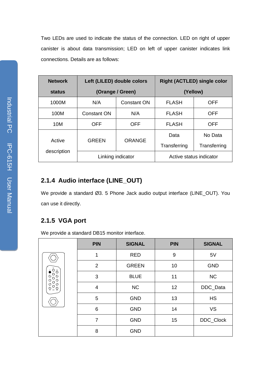Two LEDs are used to indicate the status of the connection. LED on right of upper canister is about data transmission; LED on left of upper canister indicates link connections. Details are as follows:

| <b>Network</b> | Left (LILED) double colors |               | <b>Right (ACTLED) single color</b> |              |
|----------------|----------------------------|---------------|------------------------------------|--------------|
| status         | (Orange / Green)           |               | (Yellow)                           |              |
| 1000M          | N/A                        | Constant ON   | <b>FLASH</b>                       | <b>OFF</b>   |
| 100M           | <b>Constant ON</b>         | N/A           | <b>FLASH</b>                       | OFF          |
| 10M            | <b>OFF</b>                 | <b>OFF</b>    | <b>FLASH</b>                       | OFF          |
| Active         | <b>GREEN</b>               | <b>ORANGE</b> | Data                               | No Data      |
|                |                            |               | Transferring                       | Transferring |
| description    | Linking indicator          |               | Active status indicator            |              |

## **2.1.4 Audio interface (LINE\_OUT)**

We provide a standard Ø3. 5 Phone Jack audio output interface (LINE\_OUT). You can use it directly.

## **2.1.5 VGA port**

We provide a standard DB15 monitor interface.

|                                                                                                                                                                                                | <b>PIN</b>      | <b>SIGNAL</b> | <b>PIN</b> | <b>SIGNAL</b> |
|------------------------------------------------------------------------------------------------------------------------------------------------------------------------------------------------|-----------------|---------------|------------|---------------|
|                                                                                                                                                                                                | 1               | <b>RED</b>    | 9          | 5V            |
|                                                                                                                                                                                                | $\overline{2}$  | <b>GREEN</b>  | 10         | <b>GND</b>    |
| $\frac{1}{2} \bigodot_{O}^{6} \frac{1}{2}$<br>$\circ$<br>$\circ$<br>$\circ$<br>$\circ$<br>O<br>$\circ$<br>$\circ$<br>$\circ$<br>$\circ$<br>$\bigcirc$ <sub>5</sub> 10 $\bigcirc$ <sub>15</sub> | 3               | <b>BLUE</b>   | 11         | NC            |
|                                                                                                                                                                                                | 4               | NC            | 12         | DDC_Data      |
|                                                                                                                                                                                                | 5               | <b>GND</b>    | 13         | <b>HS</b>     |
|                                                                                                                                                                                                | $6\phantom{1}6$ | <b>GND</b>    | 14         | <b>VS</b>     |
|                                                                                                                                                                                                | $\overline{7}$  | <b>GND</b>    | 15         | DDC_Clock     |
|                                                                                                                                                                                                | 8               | <b>GND</b>    |            |               |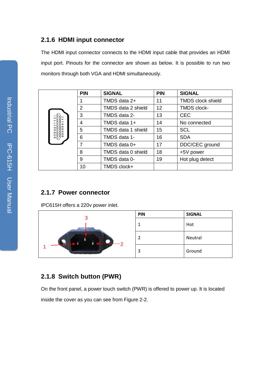#### **2.1.6 HDMI input connector**

The HDMI input connector connects to the HDMI input cable that provides an HDMI input port. Pinouts for the connector are shown as below. It is possible to run two monitors through both VGA and HDMI simultaneously.

|  | <b>PIN</b> | <b>SIGNAL</b>      | <b>PIN</b> | <b>SIGNAL</b>            |  |
|--|------------|--------------------|------------|--------------------------|--|
|  |            | TMDS data 2+       | 11         | <b>TMDS clock shield</b> |  |
|  | 2          | TMDS data 2 shield | 12         | <b>TMDS clock-</b>       |  |
|  | 3          | TMDS data 2-       | 13         | <b>CEC</b>               |  |
|  | 4          | TMDS data 1+       | 14         | No connected             |  |
|  | 5          | TMDS data 1 shield | 15         | <b>SCL</b>               |  |
|  | 6          | TMDS data 1-       | 16         | <b>SDA</b>               |  |
|  | 7          | TMDS data 0+       | 17         | DDC/CEC ground           |  |
|  | 8          | TMDS data 0 shield | 18         | +5V power                |  |
|  | 9          | TMDS data 0-       | 19         | Hot plug detect          |  |
|  | 10         | TMDS clock+        |            |                          |  |

## **2.1.7 Power connector**

IPC615H offers a 220v power inlet.



## **2.1.8 Switch button (PWR)**

On the front panel, a power touch switch (PWR) is offered to power up. It is located inside the cover as you can see from Figure 2-2.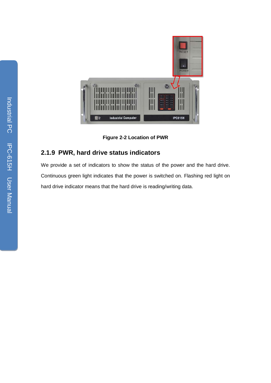

**Figure 2-2 Location of PWR**

## **2.1.9 PWR, hard drive status indicators**

We provide a set of indicators to show the status of the power and the hard drive. Continuous green light indicates that the power is switched on. Flashing red light on hard drive indicator means that the hard drive is reading/writing data.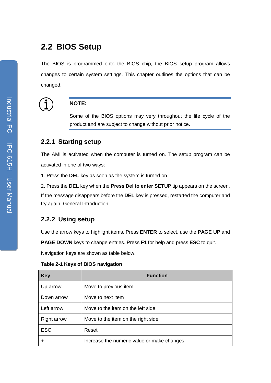## <span id="page-19-0"></span>**2.2 BIOS Setup**

The BIOS is programmed onto the BIOS chip, the BIOS setup program allows changes to certain system settings. This chapter outlines the options that can be changed.



#### **NOTE:**

Some of the BIOS options may very throughout the life cycle of the product and are subject to change without prior notice.

#### **2.2.1 Starting setup**

The AMI is activated when the computer is turned on. The setup program can be activated in one of two ways:

1. Press the **DEL** key as soon as the system is turned on.

2. Press the **DEL** key when the **Press Del to enter SETUP** tip appears on the screen. If the message disappears before the **DEL** key is pressed, restarted the computer and try again. General Introduction

#### **2.2.2 Using setup**

Use the arrow keys to highlight items. Press **ENTER** to select, use the **PAGE UP** and

**PAGE DOWN** keys to change entries. Press **F1** for help and press **ESC** to quit.

Navigation keys are shown as table below.

| Table 2-1 Keys of BIOS navigation |
|-----------------------------------|
|-----------------------------------|

| <b>Key</b>         | <b>Function</b>                            |
|--------------------|--------------------------------------------|
| Up arrow           | Move to previous item                      |
| Down arrow         | Move to next item                          |
| Left arrow         | Move to the item on the left side          |
| <b>Right arrow</b> | Move to the item on the right side.        |
| <b>ESC</b>         | Reset                                      |
| +                  | Increase the numeric value or make changes |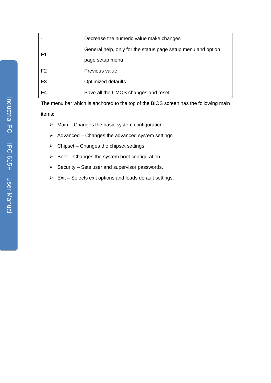|                | Decrease the numeric value make changes                      |  |  |  |  |
|----------------|--------------------------------------------------------------|--|--|--|--|
| F1             | General help, only for the status page setup menu and option |  |  |  |  |
|                | page setup menu                                              |  |  |  |  |
| F <sub>2</sub> | Previous value                                               |  |  |  |  |
| F <sub>3</sub> | <b>Optimized defaults</b>                                    |  |  |  |  |
| F4             | Save all the CMOS changes and reset                          |  |  |  |  |

The menu bar which is anchored to the top of the BIOS screen has the following main items:

- $\triangleright$  Main Changes the basic system configuration.
- $\triangleright$  Advanced Changes the advanced system settings
- $\triangleright$  Chipset Changes the chipset settings.
- $\triangleright$  Boot Changes the system boot configuration.
- $\triangleright$  Security Sets user and supervisor passwords.
- $\triangleright$  Exit Selects exit options and loads default settings.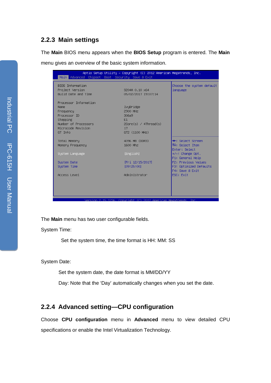#### **2.2.3 Main settings**

The **Main** BIOS menu appears when the **BIOS Setup** program is entered. The **Main**

menu gives an overview of the basic system information.

|                                                                                                                                  | Aptio Setup Utility – Copyright (C) 2012 American Megatrends, Inc.<br>Main Advanced Chipset Boot Security Save & Exit |                                                                  |
|----------------------------------------------------------------------------------------------------------------------------------|-----------------------------------------------------------------------------------------------------------------------|------------------------------------------------------------------|
| BIOS Information<br>Project Version<br>Build Date and Time                                                                       | S204A 0.10 x64<br>05/02/2017 19:07:14                                                                                 | Choose the system default<br>language                            |
| Processor Information<br>Name.<br>Frequency<br>Processor ID<br>Stepping<br>Number of Processors<br>Microcode Revision<br>GT Info | IvyBridge<br>2900 MHZ<br>306a9<br>E1<br>$2Core(s)$ / $4Thread(s)$<br>17<br>GT2 (1100 MHz)                             |                                                                  |
| Total Memory<br>Memory Frequency                                                                                                 | 4096 MB (DDR3)<br>1600 Mhz                                                                                            | <b>**:</b> Select Screen<br>$1!:$ Select Item<br>Enter: Select   |
| System Language                                                                                                                  | [English]                                                                                                             | +/-: Change Opt.<br>F1: General Help                             |
| System Date<br>System Time                                                                                                       | [Fri 12/15/2017]<br>[09:25:00]                                                                                        | F2: Previous Values<br>F3: Optimized Defaults<br>F4: Save & Exit |
| Access Level                                                                                                                     | Administrator                                                                                                         | ESC: Exit                                                        |
|                                                                                                                                  |                                                                                                                       |                                                                  |

The **Main** menu has two user configurable fields.

System Time:

Set the system time, the time format is HH: MM: SS

System Date:

Set the system date, the date format is MM/DD/YY

Day: Note that the 'Day' automatically changes when you set the date.

## **2.2.4 Advanced setting—CPU configuration**

Choose **CPU configuration** menu in **Advanced** menu to view detailed CPU specifications or enable the Intel Virtualization Technology.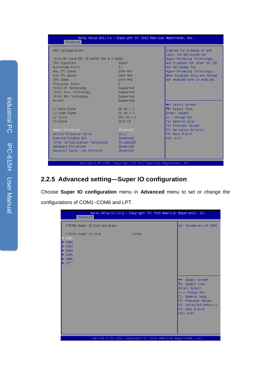| Advanced                                 | Aptio Setup Utility – Copyright (C) 2012 American Megatrends, Inc. |                                                       |
|------------------------------------------|--------------------------------------------------------------------|-------------------------------------------------------|
| CPU Configuration                        |                                                                    | Enabled for Windows XP and<br>Linux (OS optimized for |
| Intel(R) Core(TM) i5-3470T CPU @ 2.90GHz |                                                                    | Hyper-Threading Technology)                           |
| CPU Signature                            | 306a9                                                              | and Disabled for other OS (OS                         |
| Microcode Patch                          | 17                                                                 | not optimized for                                     |
| Max CPU Speed                            | 2900 MHz                                                           | Hyper-Threading Technology).                          |
| Min CPU Speed                            | 1600 MHZ                                                           | When Disabled only one thread                         |
| CPU Speed                                | 2900 MHz                                                           | per enabled core is enabled.                          |
| Processor Cores                          | $\overline{2}$                                                     |                                                       |
| Intel HT Technology                      | Supported                                                          |                                                       |
| Intel VT-x Technology                    | Supported                                                          |                                                       |
| Intel SMX Technology                     | Supported                                                          |                                                       |
| $64 - bit$                               | Supported                                                          |                                                       |
|                                          |                                                                    | <b>**:</b> Select Screen                              |
| L1 Data Cache                            | 32 KB x 2                                                          | ↑↓: Select Item                                       |
| L1 Code Cache                            | 32 KB x 2                                                          | Enter: Select                                         |
| L2 Cache                                 | 256 KB x 2                                                         | $+/-:$ Change Opt.                                    |
| L3 Cache                                 | 3072 KB                                                            | F1: General Help                                      |
|                                          |                                                                    | F2: Previous Values                                   |
| Hyper-threading                          | [Enabled]                                                          | F3: Optimized Defaults                                |
| Active Processor Cores                   | FA111                                                              | F4: Save & Exit                                       |
| Execute Disable Bit                      | [Enabled]                                                          | ESC: Exit                                             |
| Intel Virtualization Technology          | [Disabled]                                                         |                                                       |
| Handware Prefetcher                      | [Enabled]                                                          |                                                       |
| Adjacent Cache Line Prefetch             | [Enabled]                                                          |                                                       |
|                                          |                                                                    |                                                       |
|                                          | Version 2.15.1236. Copyright (C) 2012 American Megatrends, Inc.    |                                                       |
|                                          |                                                                    |                                                       |

## **2.2.5 Advanced setting—Super IO configuration**

Choose **Super IO configuration** menu in **Advanced** menu to set or change the configurations of COM1~COM6 and LPT.

|                                                                                                                                                                                                  | Advanced |                               |        |  | Aptio Setup Utility - Copyright (C) 2012 American Megatrends, Inc.                                                                                                                    |  |
|--------------------------------------------------------------------------------------------------------------------------------------------------------------------------------------------------|----------|-------------------------------|--------|--|---------------------------------------------------------------------------------------------------------------------------------------------------------------------------------------|--|
|                                                                                                                                                                                                  |          | IT8786 Super IO Configuration |        |  | Set Parameters of COM1                                                                                                                                                                |  |
| $\blacktriangleright$ COM1<br>$\blacktriangleright$ COM2<br><b>E</b> COM3<br>$\blacktriangleright$ COM4<br>$\blacktriangleright$ COM5<br>$\blacktriangleright$ COM6<br>$\blacktriangleright$ LPT |          | IT8786 Super IO Chip          | IT8786 |  |                                                                                                                                                                                       |  |
|                                                                                                                                                                                                  |          |                               |        |  | <b>++:</b> Select Screen<br>14: Select Item<br>Enter: Select<br>+/-: Change Opt.<br>F1: General Help<br>F2: Previous Values<br>F3: Optimized Defaults<br>F4: Save & Exit<br>ESC: Exit |  |
|                                                                                                                                                                                                  |          |                               |        |  | Version 2.15.1236. Copyright (C) 2012 American Megatrends, Inc.                                                                                                                       |  |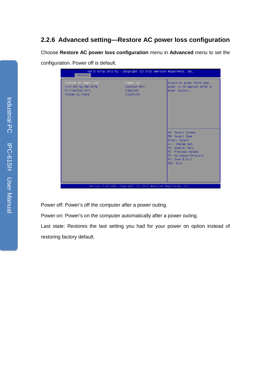## **2.2.6 Advanced setting—Restore AC power loss configuration**

Choose **Restore AC power loss configuration** menu in **Advanced** menu to set the

configuration. Power off is default.

| Advanced                                                                             | Aptio Setup Utility - Copyright (C) 2012 American Megatrends, Inc. |                                                                                                                                                                                         |
|--------------------------------------------------------------------------------------|--------------------------------------------------------------------|-----------------------------------------------------------------------------------------------------------------------------------------------------------------------------------------|
| Restore AC Power Loss<br>Soft-Off by PWR-BTTN<br>ME Function Ctrl<br>Resume By Alarm | [Power On]<br>[Instant-Off]<br>[Enabled]<br><b>[Disabled]</b>      | Select AC power state when<br>power is re-applied after a<br>power failure.                                                                                                             |
|                                                                                      |                                                                    | <b>++:</b> Select Screen<br>↑↓: Select Item<br>Enter: Select<br>$+/-:$ Change Opt.<br>F1: General Help<br>F2: Previous Values<br>F3: Optimized Defaults<br>F4: Save & Exit<br>ESC: Exit |
|                                                                                      | Version 2.15.1236. Copyright (C) 2012 American Megatrends, Inc.    |                                                                                                                                                                                         |

Power off: Power's off the computer after a power outing.

Power on: Power's on the computer automatically after a power outing.

Last state: Restores the last setting you had for your power on option instead of restoring factory default.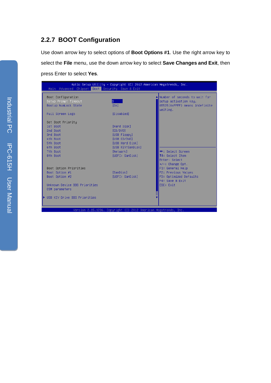## **2.2.7 BOOT Configuration**

Use down arrow key to select options of **Boot Options #1**. Use the right arrow key to select the **File** menu, use the down arrow key to select **Save Changes and Exit**, then press Enter to select **Yes**.

| Main Advanced Chipset Boot Security Save & Exit | Aptio Setup Utility – Copyright (C) 2012 American Megatrends, Inc. |                                                         |
|-------------------------------------------------|--------------------------------------------------------------------|---------------------------------------------------------|
| Boot Configuration                              |                                                                    | Number of seconds to wait for                           |
| Setup Prompt Timeout<br>Bootup NumLock State    | Β.<br>[0n]                                                         | setup activation key.<br>65535(OxFFFF) means indefinite |
|                                                 |                                                                    | waiting.                                                |
| Full Screen Logo                                | <b>[Disabled]</b>                                                  |                                                         |
| Set Boot Priority                               |                                                                    |                                                         |
| 1st Boot                                        | [Hard Disk]                                                        |                                                         |
| 2nd Boot                                        | [CD/DVD]                                                           |                                                         |
| 3rd Boot                                        | [USB Floppy]                                                       |                                                         |
| 4th Boot                                        | [USB CD/DVD]                                                       |                                                         |
| 5th Boot                                        | [USB Hard Disk]                                                    |                                                         |
| 6th Boot                                        | [USB KEY:SanDisk]                                                  |                                                         |
| 7th Boot                                        | [Network]                                                          | <b>++:</b> Select Screen                                |
| 8th Boot                                        | [UEFI: SanDisk]                                                    | 14: Select Item                                         |
|                                                 |                                                                    | Enter: Select                                           |
| Boot Option Priorities                          |                                                                    | $+/-:$ Change Opt.<br>F1: General Help                  |
| Boot Option #1                                  | [SanDisk]                                                          | F2: Previous Values                                     |
| Boot Option #2                                  | [UEFI: SanDisk]                                                    | F3: Optimized Defaults                                  |
|                                                 |                                                                    | F4: Save & Exit                                         |
| Unknown Device BBS Priorities                   |                                                                    | ESC: Exit                                               |
| CSM parameters                                  |                                                                    |                                                         |
|                                                 |                                                                    |                                                         |
| ▶ USB KEY Drive BBS Priorities                  |                                                                    |                                                         |
|                                                 |                                                                    |                                                         |
|                                                 |                                                                    |                                                         |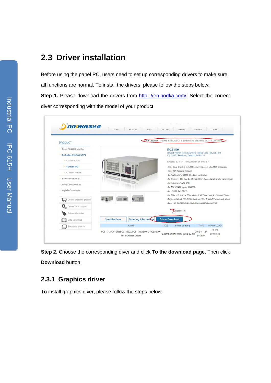## <span id="page-25-0"></span>**2.3 Driver installation**

Before using the panel PC, users need to set up corresponding drivers to make sure all functions are normal. To install the drivers, please follow the steps below: **Step 1.** Please download the drivers from [http: //en.nodka.com/.](http://en.nodka.com/) Select the correct diver corresponding with the model of your product.

| NODHA谐达佳                                         | <b>ABOUTUS</b><br><b>HOME</b>                                                                      | <b>NEWS</b>          | PRODUCT                                                              | <b>SUPPORT</b>                                | SOLUTION   | CONTACT                                                                  |
|--------------------------------------------------|----------------------------------------------------------------------------------------------------|----------------------|----------------------------------------------------------------------|-----------------------------------------------|------------|--------------------------------------------------------------------------|
| <b>PRODUCT</b>                                   |                                                                                                    |                      | Vour Location: HOME > PRODUCT > Embedded Industrial PC > 4U/Wall IPC |                                               |            |                                                                          |
| · Panel PC&LCD Monitor                           |                                                                                                    |                      | <b>IPC615H</b>                                                       |                                               |            |                                                                          |
| <b>Embedded Industrial PC</b>                    |                                                                                                    |                      |                                                                      | 17 / 15 / 13 / Pentium / Celeron, LGA1155     |            | 4U and 19 inch rack-mount IPC Intel® Core TM 2nd / 3rd                   |
| · Fanless BOXPC                                  |                                                                                                    |                      |                                                                      | Update: 2018-9-17 9:40:42Click on the: 214    |            |                                                                          |
| + 4U/Wall IPC                                    |                                                                                                    |                      |                                                                      |                                               |            | - Intel Core 2nd 3rd 17,15,13, Pentium, Celeron, LGA1155 processor       |
| • COMLAC inside                                  |                                                                                                    |                      |                                                                      | - Intel B75 Express Chipset                   |            |                                                                          |
| · Industry-specific PC                           |                                                                                                    |                      |                                                                      | - 2x Realtek RTL-8111F Gbe LAN controller     |            |                                                                          |
| OEM/ODM Services<br>٠                            | - 1x 2.5 inch HDD Bay 4 x SATA2.0 Port (Max. data transfer rate 3Gb/s)<br>- 1x full size mSATA SSD |                      |                                                                      |                                               |            |                                                                          |
| · AgilePAC controller                            |                                                                                                    |                      |                                                                      | - 2x RS232/485, up to 6 RS232                 |            |                                                                          |
|                                                  |                                                                                                    |                      | - 4x USB3.0.2x USB2.0                                                |                                               |            | - 1x PCIe x16 slot 1 x PCIe x4 slot 1 x PCIe x1 slot 4 x 32bits PCI slot |
| On-line order the product                        |                                                                                                    | q                    |                                                                      |                                               |            | - Support WinXP, WinXP Embedded, Win 7, Win7 Embedded, Win8              |
| $\mathbf{Q}_{\mathrm{o}}$<br>Online Tech.support |                                                                                                    |                      |                                                                      | - Rear I/O: 2COM/VGA/HDMI/2LAN/4USB/Audio/PS2 |            |                                                                          |
|                                                  |                                                                                                    |                      |                                                                      | Data sheet                                    |            |                                                                          |
| Online after sales                               |                                                                                                    |                      |                                                                      |                                               |            |                                                                          |
| Data Download                                    | <b>Specifications</b>                                                                              | Ordering Information | <b>Driver Download</b>                                               |                                               |            |                                                                          |
| Electronic journals                              | <b>NAME</b>                                                                                        |                      | <b>SIZE</b>                                                          | article qudong                                | TIME       | DOWNLOAD                                                                 |
|                                                  | IPC615H,IPC615F(eBOX-3632),IPC615W(eBOX-3642),eBOX-                                                |                      |                                                                      | 2.65MBWinXP win7 win8 32 64                   | 2018-11-27 | To the                                                                   |

**Step 2.** Choose the corresponding diver and click **To the download page**. Then click **Download** button.

## **2.3.1 Graphics driver**

To install graphics diver, please follow the steps below.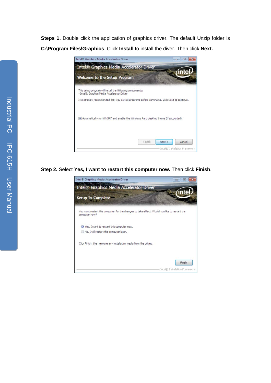**Steps 1.** Double click the application of graphics driver. The default Unzip folder is **C:\Program Files\Graphics**. Click **Install** to install the diver. Then click **Next.**



**Step 2.** Select **Yes, I want to restart this computer now.** Then click **Finish**.

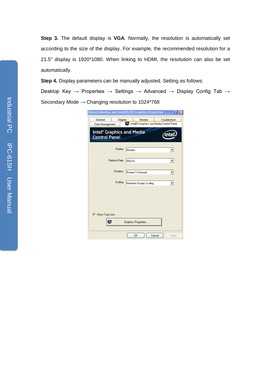**Step 3.** The default display is **VGA**. Normally, the resolution is automatically set according to the size of the display. For example, the recommended resolution for a 21.5" display is 1920\*1080. When linking to HDMI, the resolution can also be set automatically.

**Step 4.** Display parameters can be manually adjusted. Setting as follows: Desktop Key → Properties → Settings → Advanced → Display Config Tab → Secondary Mode → Changing resolution to 1024\*768

| <b>Default Monitor and Intel(R) HD Graphics Properties</b><br>Adapter<br>General | Monitor<br>Intel(R) Graphics and Media Control Panel | Troubleshoot |
|----------------------------------------------------------------------------------|------------------------------------------------------|--------------|
| Color Management<br>Intel® Graphics and Media<br><b>Control Panel</b>            |                                                      |              |
| Display                                                                          | Monitor                                              |              |
| Refresh Rate                                                                     | 60p Hz                                               | ▼            |
| Rotation                                                                         | Rotate To Normal                                     |              |
| Scaling                                                                          | Maintain Display Scaling                             | ▼            |
|                                                                                  |                                                      |              |
|                                                                                  |                                                      |              |
| $\nabla$ Show Tray Icon                                                          | Graphics Properties                                  |              |
|                                                                                  | <b>OK</b><br>Cancel                                  | Apply        |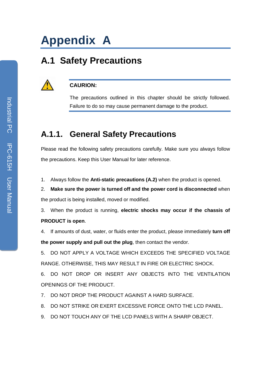# <span id="page-28-0"></span>**Appendix A**

## <span id="page-28-1"></span>**A.1 Safety Precautions**

#### **CAURION:**

The precautions outlined in this chapter should be strictly followed. Failure to do so may cause permanent damage to the product.

## **A.1.1. General Safety Precautions**

Please read the following safety precautions carefully. Make sure you always follow the precautions. Keep this User Manual for later reference.

1. Always follow the **Anti-static precautions (A.2)** when the product is opened.

2. **Make sure the power is turned off and the power cord is disconnected** when the product is being installed, moved or modified.

3. When the product is running, **electric shocks may occur if the chassis of PRODUCT is open**.

4. If amounts of dust, water, or fluids enter the product, please immediately **turn off the power supply and pull out the plug**, then contact the vendor.

5. DO NOT APPLY A VOLTAGE WHICH EXCEEDS THE SPECIFIED VOLTAGE RANGE. OTHERWISE, THIS MAY RESULT IN FIRE OR ELECTRIC SHOCK.

6. DO NOT DROP OR INSERT ANY OBJECTS INTO THE VENTILATION OPENINGS OF THE PRODUCT.

- 7. DO NOT DROP THE PRODUCT AGAINST A HARD SURFACE.
- 8. DO NOT STRIKE OR EXERT EXCESSIVE FORCE ONTO THE LCD PANEL.
- 9. DO NOT TOUCH ANY OF THE LCD PANELS WITH A SHARP OBJECT.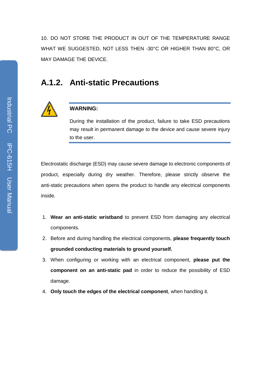10. DO NOT STORE THE PRODUCT IN OUT OF THE TEMPERATURE RANGE WHAT WE SUGGESTED, NOT LESS THEN -30°C OR HIGHER THAN 80°C, OR MAY DAMAGE THE DEVICE.

## **A.1.2. Anti-static Precautions**



#### **WARNING:**

During the installation of the product, failure to take ESD precautions may result in permanent damage to the device and cause severe injury to the user.

Electrostatic discharge (ESD) may cause severe damage to electronic components of product, especially during dry weather. Therefore, please strictly observe the anti-static precautions when opens the product to handle any electrical components inside.

- 1. **Wear an anti-static wristband** to prevent ESD from damaging any electrical components.
- 2. Before and during handling the electrical components, **please frequently touch grounded conducting materials to ground yourself.**
- 3. When configuring or working with an electrical component, **please put the component on an anti-static pad** in order to reduce the possibility of ESD damage.
- 4. **Only touch the edges of the electrical component**, when handling it.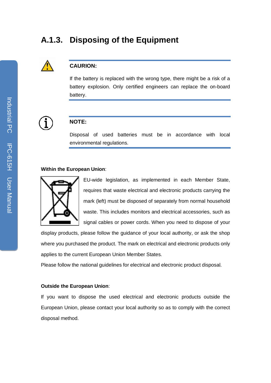## **A.1.3. Disposing of the Equipment**



#### **CAURION:**

If the battery is replaced with the wrong type, there might be a risk of a battery explosion. Only certified engineers can replace the on-board battery.



#### **NOTE:**

Disposal of used batteries must be in accordance with local environmental regulations.

#### **Within the European Union**:



EU-wide legislation, as implemented in each Member State, requires that waste electrical and electronic products carrying the mark (left) must be disposed of separately from normal household waste. This includes monitors and electrical accessories, such as signal cables or power cords. When you need to dispose of your

display products, please follow the guidance of your local authority, or ask the shop where you purchased the product. The mark on electrical and electronic products only applies to the current European Union Member States.

Please follow the national guidelines for electrical and electronic product disposal.

#### **Outside the European Union**:

If you want to dispose the used electrical and electronic products outside the European Union, please contact your local authority so as to comply with the correct disposal method.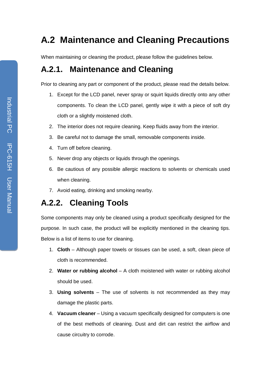## <span id="page-31-0"></span>**A.2 Maintenance and Cleaning Precautions**

When maintaining or cleaning the product, please follow the guidelines below.

## **A.2.1. Maintenance and Cleaning**

Prior to cleaning any part or component of the product, please read the details below.

- 1. Except for the LCD panel, never spray or squirt liquids directly onto any other components. To clean the LCD panel, gently wipe it with a piece of soft dry cloth or a slightly moistened cloth.
- 2. The interior does not require cleaning. Keep fluids away from the interior.
- 3. Be careful not to damage the small, removable components inside.
- 4. Turn off before cleaning.
- 5. Never drop any objects or liquids through the openings.
- 6. Be cautious of any possible allergic reactions to solvents or chemicals used when cleaning.
- 7. Avoid eating, drinking and smoking nearby.

## **A.2.2. Cleaning Tools**

Some components may only be cleaned using a product specifically designed for the purpose. In such case, the product will be explicitly mentioned in the cleaning tips. Below is a list of items to use for cleaning.

- 1. **Cloth**  Although paper towels or tissues can be used, a soft, clean piece of cloth is recommended.
- 2. Water or rubbing alcohol A cloth moistened with water or rubbing alcohol should be used.
- 3. **Using solvents**  The use of solvents is not recommended as they may damage the plastic parts.
- 4. **Vacuum cleaner**  Using a vacuum specifically designed for computers is one of the best methods of cleaning. Dust and dirt can restrict the airflow and cause circuitry to corrode.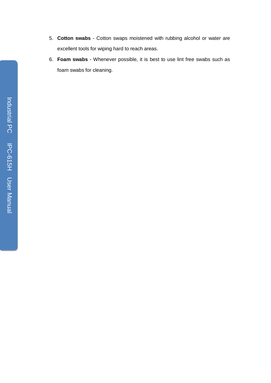- 5. **Cotton swabs**  Cotton swaps moistened with rubbing alcohol or water are excellent tools for wiping hard to reach areas.
- 6. **Foam swabs**  Whenever possible, it is best to use lint free swabs such as foam swabs for cleaning.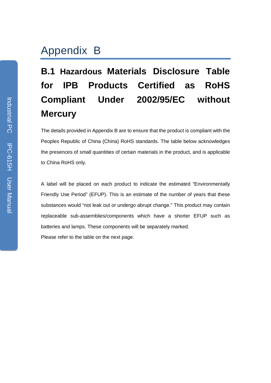## <span id="page-33-0"></span>Appendix B

# <span id="page-33-1"></span>**B.1 Hazardous Materials Disclosure Table for IPB Products Certified as RoHS Compliant Under 2002/95/EC without Mercury**

The details provided in Appendix B are to ensure that the product is compliant with the Peoples Republic of China (China) RoHS standards. The table below acknowledges the presences of small quantities of certain materials in the product, and is applicable to China RoHS only.

A label will be placed on each product to indicate the estimated "Environmentally Friendly Use Period" (EFUP). This is an estimate of the number of years that these substances would "not leak out or undergo abrupt change." This product may contain replaceable sub-assemblies/components which have a shorter EFUP such as batteries and lamps. These components will be separately marked. Please refer to the table on the next page.